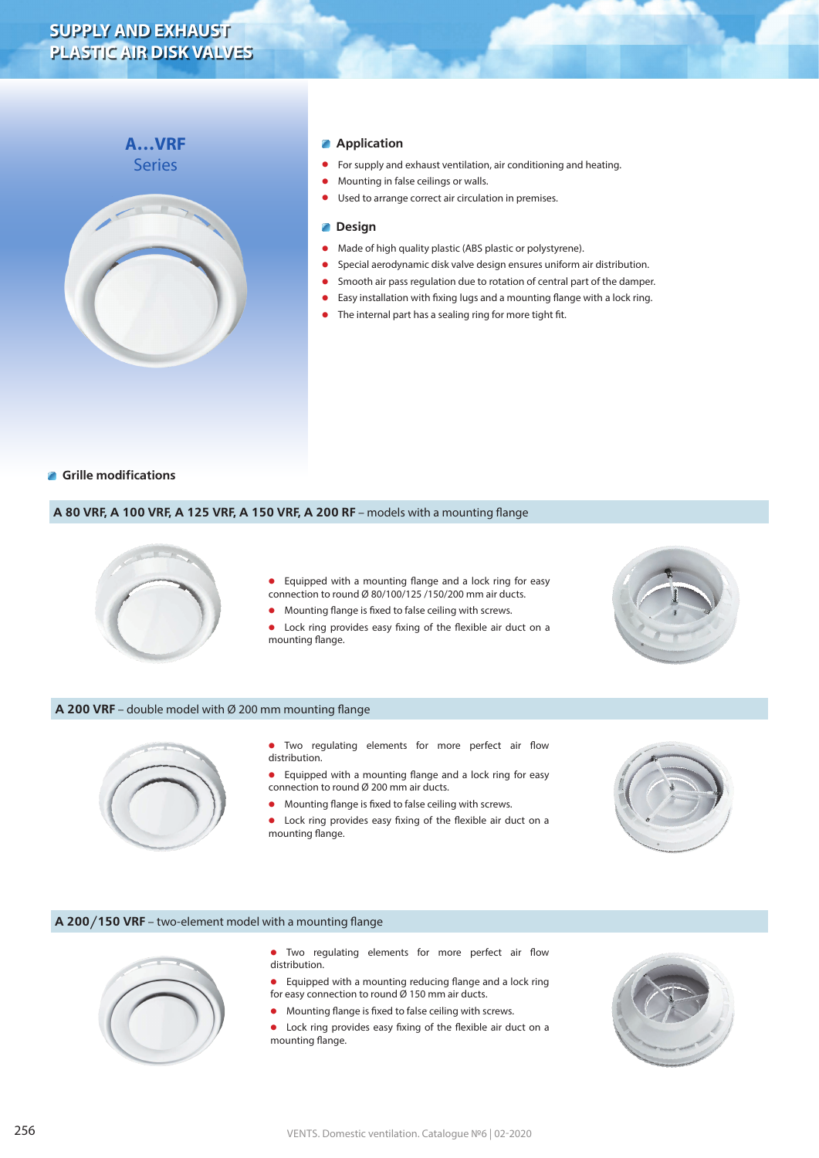# **SUPPLY AND EXHAUST PLASTIC AIR DISK VALVES**

# **A…VRF** Series



## **Application**

- **•** For supply and exhaust ventilation, air conditioning and heating.
- **•** Mounting in false ceilings or walls.
- **•** Used to arrange correct air circulation in premises.

#### **Design** Z

- Made of high quality plastic (ABS plastic or polystyrene).<br>• Special aerodynamic disk valve design ensures uniform a
- **•** Special aerodynamic disk valve design ensures uniform air distribution.
- **•** Smooth air pass regulation due to rotation of central part of the damper.
- **•** Easy installation with fixing lugs and a mounting flange with a lock ring.
- **•** The internal part has a sealing ring for more tight fit.

# **Grille modifications**

#### **A 80 VRF, A 100 VRF, A 125 VRF, A 150 VRF, A 200 RF** – models with a mounting flange



**•** Equipped with a mounting flange and a lock ring for easy connection to round Ø 80/100/125 /150/200 mm air ducts.

**•** Mounting flange is fixed to false ceiling with screws.

**•** Lock ring provides easy fixing of the flexible air duct on a mounting flange.



## **A 200 VRF** – double model with Ø 200 mm mounting flange



- **•** Two regulating elements for more perfect air flow distribution.
- **•** Equipped with a mounting flange and a lock ring for easy connection to round Ø 200 mm air ducts.
- **•** Mounting flange is fixed to false ceiling with screws.
- **•** Lock ring provides easy fixing of the flexible air duct on a mounting flange.



#### **A 200/150 VRF** – two-element model with a mounting flange



- **•** Two regulating elements for more perfect air flow distribution.
- **•** Equipped with a mounting reducing flange and a lock ring for easy connection to round Ø 150 mm air ducts.
- **•** Mounting flange is fixed to false ceiling with screws.
- **•** Lock ring provides easy fixing of the flexible air duct on a mounting flange.